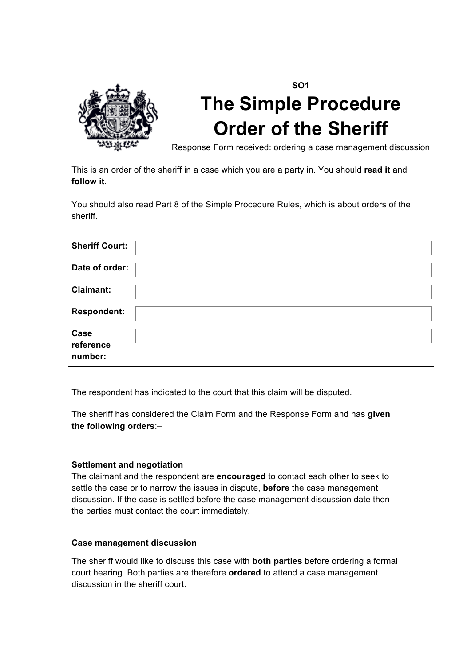

# **SO1 The Simple Procedure Order of the Sheriff**

Response Form received: ordering a case management discussion

This is an order of the sheriff in a case which you are a party in. You should **read it** and **follow it**.

You should also read Part 8 of the Simple Procedure Rules, which is about orders of the sheriff.

| <b>Sheriff Court:</b>        |  |
|------------------------------|--|
| Date of order:               |  |
| <b>Claimant:</b>             |  |
| <b>Respondent:</b>           |  |
| Case<br>reference<br>number: |  |

The respondent has indicated to the court that this claim will be disputed.

The sheriff has considered the Claim Form and the Response Form and has **given the following orders**:–

### **Settlement and negotiation**

The claimant and the respondent are **encouraged** to contact each other to seek to settle the case or to narrow the issues in dispute, **before** the case management discussion. If the case is settled before the case management discussion date then the parties must contact the court immediately.

#### **Case management discussion**

The sheriff would like to discuss this case with **both parties** before ordering a formal court hearing. Both parties are therefore **ordered** to attend a case management discussion in the sheriff court.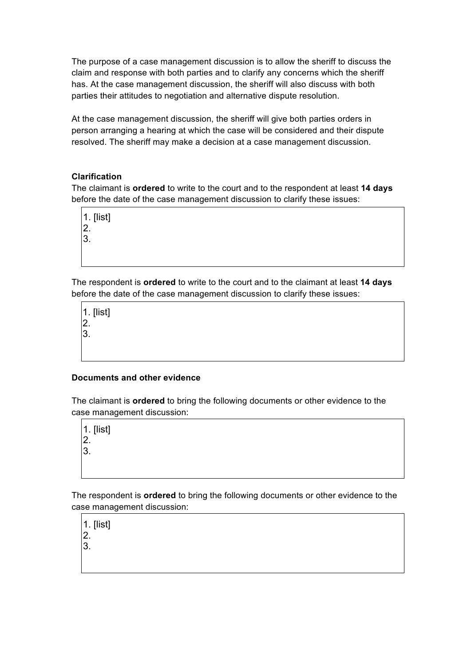The purpose of a case management discussion is to allow the sheriff to discuss the claim and response with both parties and to clarify any concerns which the sheriff has. At the case management discussion, the sheriff will also discuss with both parties their attitudes to negotiation and alternative dispute resolution.

At the case management discussion, the sheriff will give both parties orders in person arranging a hearing at which the case will be considered and their dispute resolved. The sheriff may make a decision at a case management discussion.

### **Clarification**

The claimant is **ordered** to write to the court and to the respondent at least **14 days** before the date of the case management discussion to clarify these issues:

1. [list] 2.

3.

The respondent is **ordered** to write to the court and to the claimant at least **14 days** before the date of the case management discussion to clarify these issues:

1. [list] 2. 3.

### **Documents and other evidence**

The claimant is **ordered** to bring the following documents or other evidence to the case management discussion:

1. [list] 2.

3.

The respondent is **ordered** to bring the following documents or other evidence to the case management discussion:

1. [list] 2. 3.